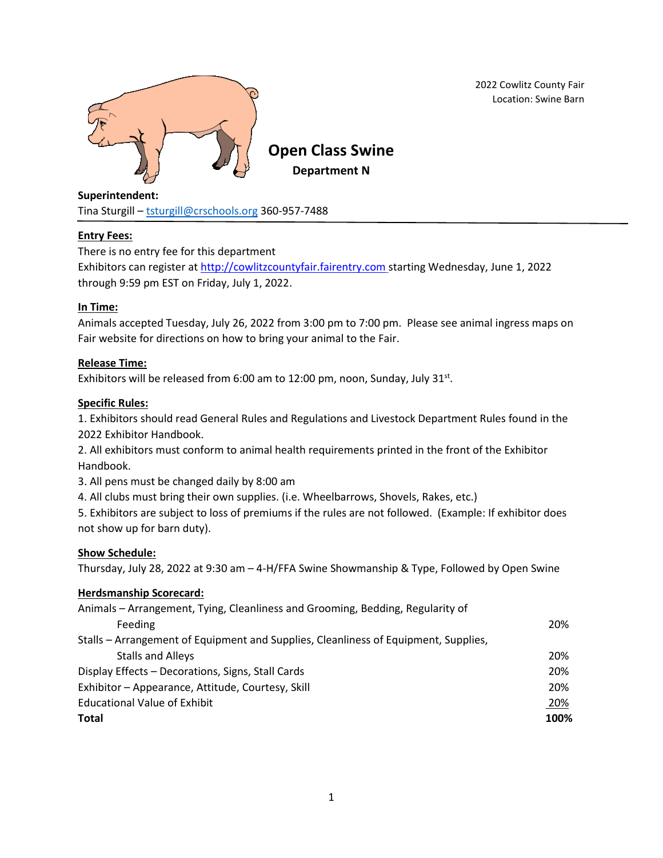

2022 Cowlitz County Fair Location: Swine Barn

# **Superintendent:**

Tina Sturgill – [tsturgill@crschools.org](mailto:tsturgill@crschools.org) 360-957-7488

# **Entry Fees:**

There is no entry fee for this department Exhibitors can register at [http://cowlitzcountyfair.fairentry.com](http://cowlitzcountyfair.fairentry.com/) starting Wednesday, June 1, 2022 through 9:59 pm EST on Friday, July 1, 2022.

# **In Time:**

Animals accepted Tuesday, July 26, 2022 from 3:00 pm to 7:00 pm. Please see animal ingress maps on Fair website for directions on how to bring your animal to the Fair.

# **Release Time:**

Exhibitors will be released from 6:00 am to 12:00 pm, noon, Sunday, July 31 $st$ .

# **Specific Rules:**

1. Exhibitors should read General Rules and Regulations and Livestock Department Rules found in the 2022 Exhibitor Handbook.

2. All exhibitors must conform to animal health requirements printed in the front of the Exhibitor Handbook.

3. All pens must be changed daily by 8:00 am

4. All clubs must bring their own supplies. (i.e. Wheelbarrows, Shovels, Rakes, etc.)

5. Exhibitors are subject to loss of premiums if the rules are not followed. (Example: If exhibitor does not show up for barn duty).

# **Show Schedule:**

Thursday, July 28, 2022 at 9:30 am – 4-H/FFA Swine Showmanship & Type, Followed by Open Swine

# **Herdsmanship Scorecard:**

| Animals - Arrangement, Tying, Cleanliness and Grooming, Bedding, Regularity of      |      |
|-------------------------------------------------------------------------------------|------|
| Feeding                                                                             | 20%  |
| Stalls – Arrangement of Equipment and Supplies, Cleanliness of Equipment, Supplies, |      |
| <b>Stalls and Alleys</b>                                                            | 20%  |
| Display Effects - Decorations, Signs, Stall Cards                                   | 20%  |
| Exhibitor - Appearance, Attitude, Courtesy, Skill                                   | 20%  |
| <b>Educational Value of Exhibit</b>                                                 | 20%  |
| <b>Total</b>                                                                        | 100% |
|                                                                                     |      |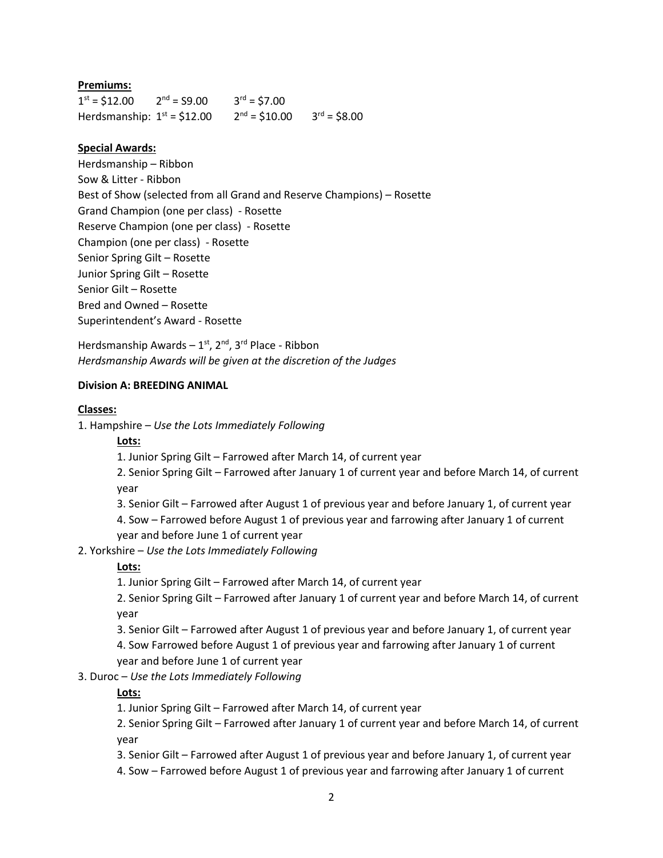# **Premiums:**

 $1^{st} = $12.00$  2  $2<sup>nd</sup> = S9.00$  $3^{rd} = $7.00$ Herdsmanship:  $1<sup>st</sup> = $12.00$  2  $^{nd}$  = \$10.00 3<sup>rd</sup> = \$8.00

#### **Special Awards:**

Herdsmanship – Ribbon Sow & Litter - Ribbon Best of Show (selected from all Grand and Reserve Champions) – Rosette Grand Champion (one per class) - Rosette Reserve Champion (one per class) - Rosette Champion (one per class) - Rosette Senior Spring Gilt – Rosette Junior Spring Gilt – Rosette Senior Gilt – Rosette Bred and Owned – Rosette Superintendent's Award - Rosette

Herdsmanship Awards – 1<sup>st</sup>, 2<sup>nd</sup>, 3<sup>rd</sup> Place - Ribbon *Herdsmanship Awards will be given at the discretion of the Judges* 

#### **Division A: BREEDING ANIMAL**

#### **Classes:**

1. Hampshire – *Use the Lots Immediately Following*

#### **Lots:**

1. Junior Spring Gilt – Farrowed after March 14, of current year

2. Senior Spring Gilt – Farrowed after January 1 of current year and before March 14, of current year

3. Senior Gilt – Farrowed after August 1 of previous year and before January 1, of current year 4. Sow – Farrowed before August 1 of previous year and farrowing after January 1 of current

# year and before June 1 of current year

2. Yorkshire – *Use the Lots Immediately Following*

# **Lots:**

1. Junior Spring Gilt – Farrowed after March 14, of current year

2. Senior Spring Gilt – Farrowed after January 1 of current year and before March 14, of current year

3. Senior Gilt – Farrowed after August 1 of previous year and before January 1, of current year

4. Sow Farrowed before August 1 of previous year and farrowing after January 1 of current year and before June 1 of current year

# 3. Duroc – *Use the Lots Immediately Following*

# **Lots:**

1. Junior Spring Gilt – Farrowed after March 14, of current year

2. Senior Spring Gilt – Farrowed after January 1 of current year and before March 14, of current year

3. Senior Gilt – Farrowed after August 1 of previous year and before January 1, of current year

4. Sow – Farrowed before August 1 of previous year and farrowing after January 1 of current